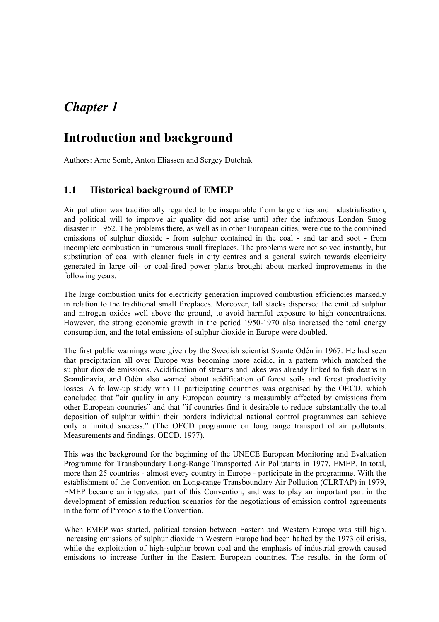# *Chapter 1*

# **Introduction and background**

Authors: Arne Semb, Anton Eliassen and Sergey Dutchak

# **1.1 Historical background of EMEP**

Air pollution was traditionally regarded to be inseparable from large cities and industrialisation, and political will to improve air quality did not arise until after the infamous London Smog disaster in 1952. The problems there, as well as in other European cities, were due to the combined emissions of sulphur dioxide - from sulphur contained in the coal - and tar and soot - from incomplete combustion in numerous small fireplaces. The problems were not solved instantly, but substitution of coal with cleaner fuels in city centres and a general switch towards electricity generated in large oil- or coal-fired power plants brought about marked improvements in the following years.

The large combustion units for electricity generation improved combustion efficiencies markedly in relation to the traditional small fireplaces. Moreover, tall stacks dispersed the emitted sulphur and nitrogen oxides well above the ground, to avoid harmful exposure to high concentrations. However, the strong economic growth in the period 1950-1970 also increased the total energy consumption, and the total emissions of sulphur dioxide in Europe were doubled.

The first public warnings were given by the Swedish scientist Svante Odén in 1967. He had seen that precipitation all over Europe was becoming more acidic, in a pattern which matched the sulphur dioxide emissions. Acidification of streams and lakes was already linked to fish deaths in Scandinavia, and Odén also warned about acidification of forest soils and forest productivity losses. A follow-up study with 11 participating countries was organised by the OECD, which concluded that "air quality in any European country is measurably affected by emissions from other European countries" and that "if countries find it desirable to reduce substantially the total deposition of sulphur within their borders individual national control programmes can achieve only a limited success." (The OECD programme on long range transport of air pollutants. Measurements and findings. OECD, 1977).

This was the background for the beginning of the UNECE European Monitoring and Evaluation Programme for Transboundary Long-Range Transported Air Pollutants in 1977, EMEP. In total, more than 25 countries - almost every country in Europe - participate in the programme. With the establishment of the Convention on Long-range Transboundary Air Pollution (CLRTAP) in 1979, EMEP became an integrated part of this Convention, and was to play an important part in the development of emission reduction scenarios for the negotiations of emission control agreements in the form of Protocols to the Convention.

When EMEP was started, political tension between Eastern and Western Europe was still high. Increasing emissions of sulphur dioxide in Western Europe had been halted by the 1973 oil crisis, while the exploitation of high-sulphur brown coal and the emphasis of industrial growth caused emissions to increase further in the Eastern European countries. The results, in the form of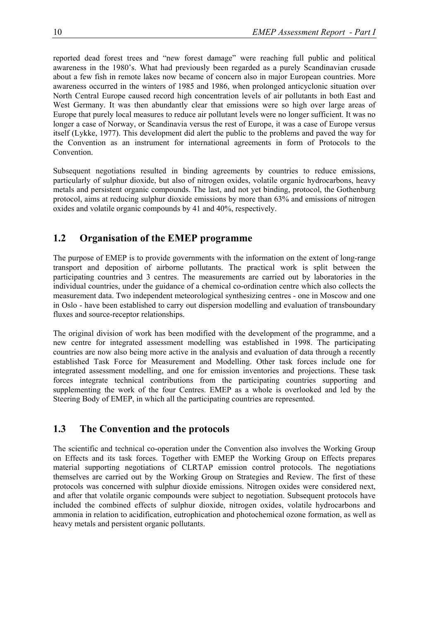reported dead forest trees and "new forest damage" were reaching full public and political awareness in the 1980's. What had previously been regarded as a purely Scandinavian crusade about a few fish in remote lakes now became of concern also in major European countries. More awareness occurred in the winters of 1985 and 1986, when prolonged anticyclonic situation over North Central Europe caused record high concentration levels of air pollutants in both East and West Germany. It was then abundantly clear that emissions were so high over large areas of Europe that purely local measures to reduce air pollutant levels were no longer sufficient. It was no longer a case of Norway, or Scandinavia versus the rest of Europe, it was a case of Europe versus itself (Lykke, 1977). This development did alert the public to the problems and paved the way for the Convention as an instrument for international agreements in form of Protocols to the **Convention** 

Subsequent negotiations resulted in binding agreements by countries to reduce emissions, particularly of sulphur dioxide, but also of nitrogen oxides, volatile organic hydrocarbons, heavy metals and persistent organic compounds. The last, and not yet binding, protocol, the Gothenburg protocol, aims at reducing sulphur dioxide emissions by more than 63% and emissions of nitrogen oxides and volatile organic compounds by 41 and 40%, respectively.

# **1.2 Organisation of the EMEP programme**

The purpose of EMEP is to provide governments with the information on the extent of long-range transport and deposition of airborne pollutants. The practical work is split between the participating countries and 3 centres. The measurements are carried out by laboratories in the individual countries, under the guidance of a chemical co-ordination centre which also collects the measurement data. Two independent meteorological synthesizing centres - one in Moscow and one in Oslo - have been established to carry out dispersion modelling and evaluation of transboundary fluxes and source-receptor relationships.

The original division of work has been modified with the development of the programme, and a new centre for integrated assessment modelling was established in 1998. The participating countries are now also being more active in the analysis and evaluation of data through a recently established Task Force for Measurement and Modelling. Other task forces include one for integrated assessment modelling, and one for emission inventories and projections. These task forces integrate technical contributions from the participating countries supporting and supplementing the work of the four Centres. EMEP as a whole is overlooked and led by the Steering Body of EMEP, in which all the participating countries are represented.

# **1.3 The Convention and the protocols**

The scientific and technical co-operation under the Convention also involves the Working Group on Effects and its task forces. Together with EMEP the Working Group on Effects prepares material supporting negotiations of CLRTAP emission control protocols. The negotiations themselves are carried out by the Working Group on Strategies and Review. The first of these protocols was concerned with sulphur dioxide emissions. Nitrogen oxides were considered next, and after that volatile organic compounds were subject to negotiation. Subsequent protocols have included the combined effects of sulphur dioxide, nitrogen oxides, volatile hydrocarbons and ammonia in relation to acidification, eutrophication and photochemical ozone formation, as well as heavy metals and persistent organic pollutants.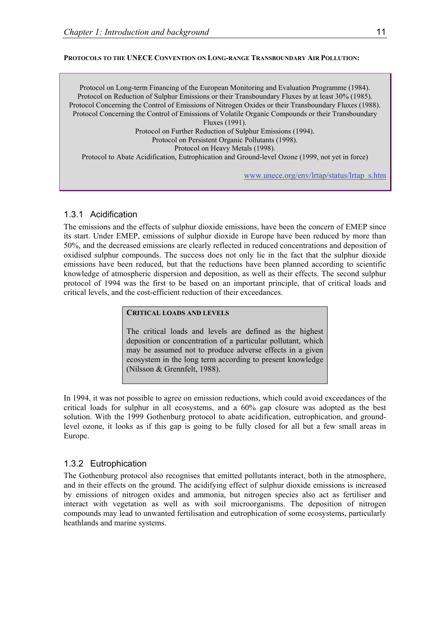#### **PROTOCOLS TO THE UNECE CONVENTION ON LONG-RANGE TRANSBOUNDARY AIR POLLUTION:**

Protocol on Long-term Financing of the European Monitoring and Evaluation Programme (1984). Protocol on Reduction of Sulphur Emissions or their Transboundary Fluxes by at least 30% (1985). Protocol Concerning the Control of Emissions of Nitrogen Oxides or their Transboundary Fluxes (1988). Protocol Concerning the Control of Emissions of Volatile Organic Compounds or their Transboundary Fluxes (1991). Protocol on Further Reduction of Sulphur Emissions (1994). Protocol on Persistent Organic Pollutants (1998). Protocol on Heavy Metals (1998). Protocol to Abate Acidification, Eutrophication and Ground-level Ozone (1999, not yet in force)

www.unece.org/env/lrtap/status/lrtap\_s.htm

### 1.3.1 Acidification

The emissions and the effects of sulphur dioxide emissions, have been the concern of EMEP since its start. Under EMEP, emissions of sulphur dioxide in Europe have been reduced by more than 50%, and the decreased emissions are clearly reflected in reduced concentrations and deposition of oxidised sulphur compounds. The success does not only lie in the fact that the sulphur dioxide emissions have been reduced, but that the reductions have been planned according to scientific knowledge of atmospheric dispersion and deposition, as well as their effects. The second sulphur protocol of 1994 was the first to be based on an important principle, that of critical loads and critical levels, and the cost-efficient reduction of their exceedances.

#### **CRITICAL LOADS AND LEVELS**

The critical loads and levels are defined as the highest deposition or concentration of a particular pollutant, which may be assumed not to produce adverse effects in a given ecosystem in the long term according to present knowledge (Nilsson & Grennfelt, 1988).

In 1994, it was not possible to agree on emission reductions, which could avoid exceedances of the critical loads for sulphur in all ecosystems, and a 60% gap closure was adopted as the best solution. With the 1999 Gothenburg protocol to abate acidification, eutrophication, and groundlevel ozone, it looks as if this gap is going to be fully closed for all but a few small areas in Europe.

### 1.3.2 Eutrophication

The Gothenburg protocol also recognises that emitted pollutants interact, both in the atmosphere, and in their effects on the ground. The acidifying effect of sulphur dioxide emissions is increased by emissions of nitrogen oxides and ammonia, but nitrogen species also act as fertiliser and interact with vegetation as well as with soil microorganisms. The deposition of nitrogen compounds may lead to unwanted fertilisation and eutrophication of some ecosystems, particularly heathlands and marine systems.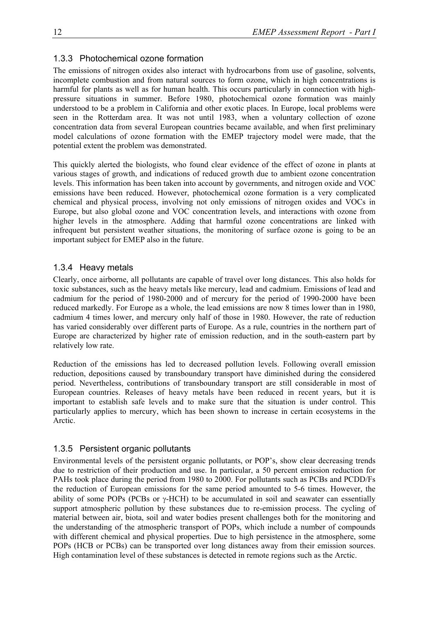### 1.3.3 Photochemical ozone formation

The emissions of nitrogen oxides also interact with hydrocarbons from use of gasoline, solvents, incomplete combustion and from natural sources to form ozone, which in high concentrations is harmful for plants as well as for human health. This occurs particularly in connection with highpressure situations in summer. Before 1980, photochemical ozone formation was mainly understood to be a problem in California and other exotic places. In Europe, local problems were seen in the Rotterdam area. It was not until 1983, when a voluntary collection of ozone concentration data from several European countries became available, and when first preliminary model calculations of ozone formation with the EMEP trajectory model were made, that the potential extent the problem was demonstrated.

This quickly alerted the biologists, who found clear evidence of the effect of ozone in plants at various stages of growth, and indications of reduced growth due to ambient ozone concentration levels. This information has been taken into account by governments, and nitrogen oxide and VOC emissions have been reduced. However, photochemical ozone formation is a very complicated chemical and physical process, involving not only emissions of nitrogen oxides and VOCs in Europe, but also global ozone and VOC concentration levels, and interactions with ozone from higher levels in the atmosphere. Adding that harmful ozone concentrations are linked with infrequent but persistent weather situations, the monitoring of surface ozone is going to be an important subject for EMEP also in the future.

### 1.3.4 Heavy metals

Clearly, once airborne, all pollutants are capable of travel over long distances. This also holds for toxic substances, such as the heavy metals like mercury, lead and cadmium. Emissions of lead and cadmium for the period of 1980-2000 and of mercury for the period of 1990-2000 have been reduced markedly. For Europe as a whole, the lead emissions are now 8 times lower than in 1980, cadmium 4 times lower, and mercury only half of those in 1980. However, the rate of reduction has varied considerably over different parts of Europe. As a rule, countries in the northern part of Europe are characterized by higher rate of emission reduction, and in the south-eastern part by relatively low rate.

Reduction of the emissions has led to decreased pollution levels. Following overall emission reduction, depositions caused by transboundary transport have diminished during the considered period. Nevertheless, contributions of transboundary transport are still considerable in most of European countries. Releases of heavy metals have been reduced in recent years, but it is important to establish safe levels and to make sure that the situation is under control. This particularly applies to mercury, which has been shown to increase in certain ecosystems in the Arctic.

### 1.3.5 Persistent organic pollutants

Environmental levels of the persistent organic pollutants, or POP's, show clear decreasing trends due to restriction of their production and use. In particular, a 50 percent emission reduction for PAHs took place during the period from 1980 to 2000. For pollutants such as PCBs and PCDD/Fs the reduction of European emissions for the same period amounted to 5-6 times. However, the ability of some POPs (PCBs or γ-HCH) to be accumulated in soil and seawater can essentially support atmospheric pollution by these substances due to re-emission process. The cycling of material between air, biota, soil and water bodies present challenges both for the monitoring and the understanding of the atmospheric transport of POPs, which include a number of compounds with different chemical and physical properties. Due to high persistence in the atmosphere, some POPs (HCB or PCBs) can be transported over long distances away from their emission sources. High contamination level of these substances is detected in remote regions such as the Arctic.